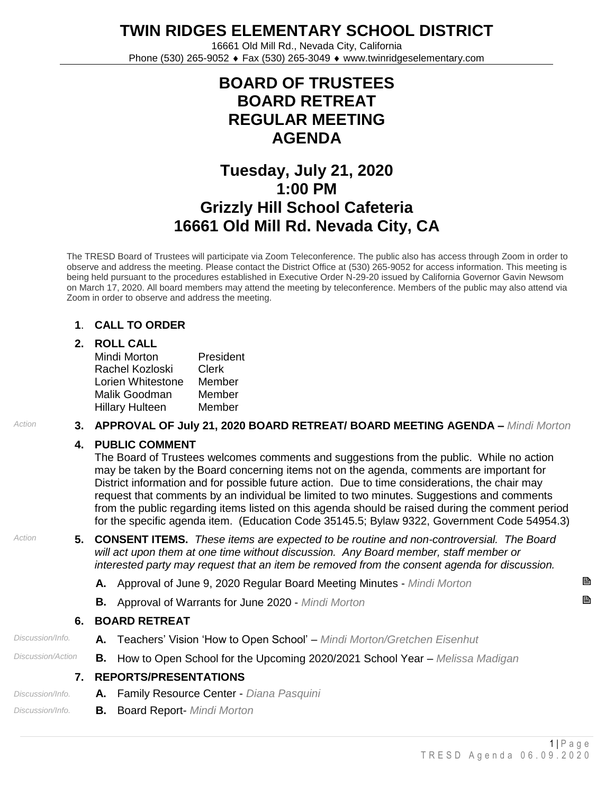**TWIN RIDGES ELEMENTARY SCHOOL DISTRICT**

16661 Old Mill Rd., Nevada City, California Phone (530) 265-9052 ♦ Fax (530) 265-3049 ♦ www.twinridgeselementary.com

## **BOARD OF TRUSTEES BOARD RETREAT REGULAR MEETING AGENDA**

# **Tuesday, July 21, 2020 1:00 PM Grizzly Hill School Cafeteria 16661 Old Mill Rd. Nevada City, CA**

The TRESD Board of Trustees will participate via Zoom Teleconference. The public also has access through Zoom in order to observe and address the meeting. Please contact the District Office at (530) 265-9052 for access information. This meeting is being held pursuant to the procedures established in Executive Order N-29-20 issued by California Governor Gavin Newsom on March 17, 2020. All board members may attend the meeting by teleconference. Members of the public may also attend via Zoom in order to observe and address the meeting.

### **1**. **CALL TO ORDER**

### **2. ROLL CALL**

| Mindi Morton           | President |
|------------------------|-----------|
| Rachel Kozloski        | Clerk     |
| Lorien Whitestone      | Member    |
| Malik Goodman          | Member    |
| <b>Hillary Hulteen</b> | Member    |

### *Action* **3. APPROVAL OF July 21, 2020 BOARD RETREAT/ BOARD MEETING AGENDA –** *Mindi Morton*

### **4. PUBLIC COMMENT**

The Board of Trustees welcomes comments and suggestions from the public. While no action may be taken by the Board concerning items not on the agenda, comments are important for District information and for possible future action. Due to time considerations, the chair may request that comments by an individual be limited to two minutes. Suggestions and comments from the public regarding items listed on this agenda should be raised during the comment period for the specific agenda item. (Education Code 35145.5; Bylaw 9322, Government Code 54954.3)

- *Action* **5. CONSENT ITEMS.** *These items are expected to be routine and non-controversial. The Board will act upon them at one time without discussion. Any Board member, staff member or interested party may request that an item be removed from the consent agenda for discussion.*
	- **A.** Approval of June 9, 2020 Regular Board Meeting Minutes *Mindi Morton*
	- **B.** Approval of Warrants for June <sup>2020</sup> *Mindi Morton*

### **6. BOARD RETREAT**

- *Discussion/Info.* **A.** Teachers' Vision 'How to Open School' *Mindi Morton/Gretchen Eisenhut*
- *Discussion/Action* **B.** How to Open School for the Upcoming 2020/2021 School Year *Melissa Madigan*

### **7. REPORTS/PRESENTATIONS**

- *Discussion/Info.* **A.** Family Resource Center *Diana Pasquini*
- *Discussion/Info.* **B.** Board Report- *Mindi Morton*